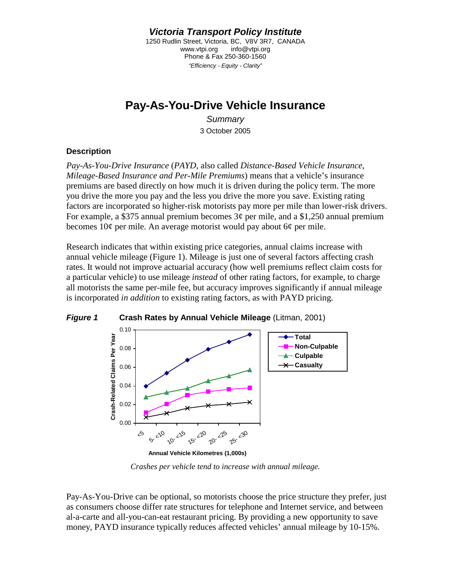*Victoria Transport Policy Institute* 

1250 Rudlin Street, Victoria, BC, V8V 3R7, CANADA www.vtpi.org info@vtpi.org Phone & Fax 250-360-1560 *"Efficiency - Equity - Clarity"* 

# **Pay-As-You-Drive Vehicle Insurance**

*Summary*  3 October 2005

### **Description**

*Pay-As-You-Drive Insurance* (*PAYD*, also called *Distance-Based Vehicle Insurance*, *Mileage-Based Insurance and Per-Mile Premiums*) means that a vehicle's insurance premiums are based directly on how much it is driven during the policy term. The more you drive the more you pay and the less you drive the more you save. Existing rating factors are incorporated so higher-risk motorists pay more per mile than lower-risk drivers. For example, a \$375 annual premium becomes  $3¢$  per mile, and a \$1,250 annual premium becomes 10¢ per mile. An average motorist would pay about 6¢ per mile.

Research indicates that within existing price categories, annual claims increase with annual vehicle mileage (Figure 1). Mileage is just one of several factors affecting crash rates. It would not improve actuarial accuracy (how well premiums reflect claim costs for a particular vehicle) to use mileage *instead* of other rating factors, for example, to charge all motorists the same per-mile fee, but accuracy improves significantly if annual mileage is incorporated *in addition* to existing rating factors, as with PAYD pricing.



*Crashes per vehicle tend to increase with annual mileage.* 

Pay-As-You-Drive can be optional, so motorists choose the price structure they prefer, just as consumers choose differ rate structures for telephone and Internet service, and between al-a-carte and all-you-can-eat restaurant pricing. By providing a new opportunity to save money, PAYD insurance typically reduces affected vehicles' annual mileage by 10-15%.